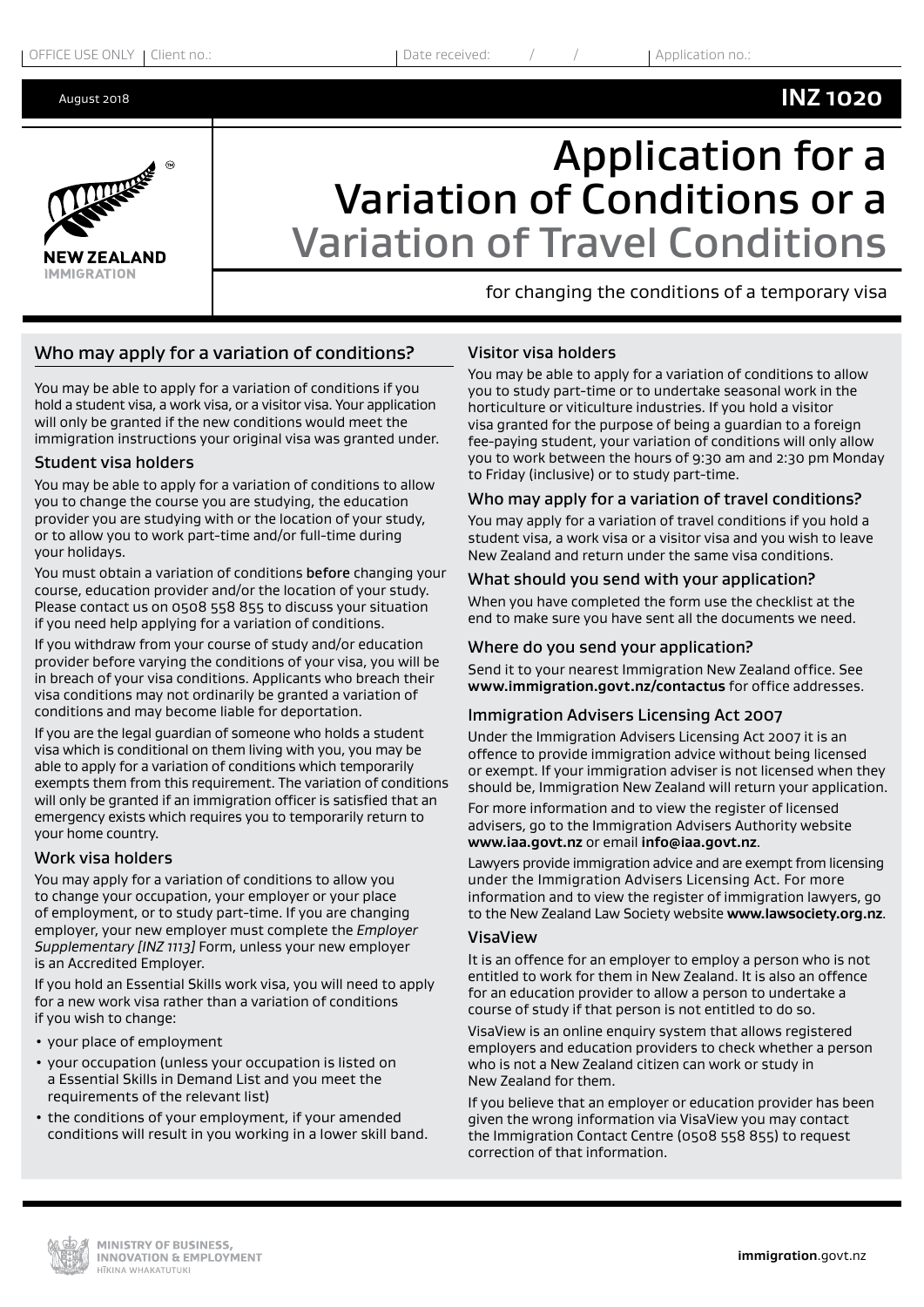# **INZ 1020**



**IMMIGRATION** 

August 2018

# Application for a Variation of Conditions or a Variation of Travel Conditions

for changing the conditions of a temporary visa

## Who may apply for a variation of conditions?

You may be able to apply for a variation of conditions if you hold a student visa, a work visa, or a visitor visa. Your application will only be granted if the new conditions would meet the immigration instructions your original visa was granted under.

#### Student visa holders

You may be able to apply for a variation of conditions to allow you to change the course you are studying, the education provider you are studying with or the location of your study, or to allow you to work part-time and/or full-time during your holidays.

You must obtain a variation of conditions before changing your course, education provider and/or the location of your study. Please contact us on 0508 558 855 to discuss your situation if you need help applying for a variation of conditions.

If you withdraw from your course of study and/or education provider before varying the conditions of your visa, you will be in breach of your visa conditions. Applicants who breach their visa conditions may not ordinarily be granted a variation of conditions and may become liable for deportation.

If you are the legal guardian of someone who holds a student visa which is conditional on them living with you, you may be able to apply for a variation of conditions which temporarily exempts them from this requirement. The variation of conditions will only be granted if an immigration officer is satisfied that an emergency exists which requires you to temporarily return to your home country.

#### Work visa holders

You may apply for a variation of conditions to allow you to change your occupation, your employer or your place of employment, or to study part-time. If you are changing employer, your new employer must complete the *Employer Supplementary [INZ 1113]* Form, unless your new employer is an Accredited Employer.

If you hold an Essential Skills work visa, you will need to apply for a new work visa rather than a variation of conditions if you wish to change:

- your place of employment
- your occupation (unless your occupation is listed on a Essential Skills in Demand List and you meet the requirements of the relevant list)
- the conditions of your employment, if your amended conditions will result in you working in a lower skill band.

#### Visitor visa holders

You may be able to apply for a variation of conditions to allow you to study part-time or to undertake seasonal work in the horticulture or viticulture industries. If you hold a visitor visa granted for the purpose of being a guardian to a foreign fee-paying student, your variation of conditions will only allow you to work between the hours of 9:30 am and 2:30 pm Monday to Friday (inclusive) or to study part-time.

#### Who may apply for a variation of travel conditions?

You may apply for a variation of travel conditions if you hold a student visa, a work visa or a visitor visa and you wish to leave New Zealand and return under the same visa conditions.

#### What should you send with your application?

When you have completed the form use the checklist at the end to make sure you have sent all the documents we need.

#### Where do you send your application?

Send it to your nearest Immigration New Zealand office. See **www.immigration.govt.nz/contactus** for office addresses.

#### Immigration Advisers Licensing Act 2007

Under the Immigration Advisers Licensing Act 2007 it is an offence to provide immigration advice without being licensed or exempt. If your immigration adviser is not licensed when they should be, Immigration New Zealand will return your application.

For more information and to view the register of licensed advisers, go to the Immigration Advisers Authority website **www.iaa.govt.nz** or email **info@iaa.govt.nz**.

Lawyers provide immigration advice and are exempt from licensing under the Immigration Advisers Licensing Act. For more information and to view the register of immigration lawyers, go to the New Zealand Law Society website **www.lawsociety.org.nz**.

#### VisaView

It is an offence for an employer to employ a person who is not entitled to work for them in New Zealand. It is also an offence for an education provider to allow a person to undertake a course of study if that person is not entitled to do so.

VisaView is an online enquiry system that allows registered employers and education providers to check whether a person who is not a New Zealand citizen can work or study in New Zealand for them.

If you believe that an employer or education provider has been given the wrong information via VisaView you may contact the Immigration Contact Centre (0508 558 855) to request correction of that information.

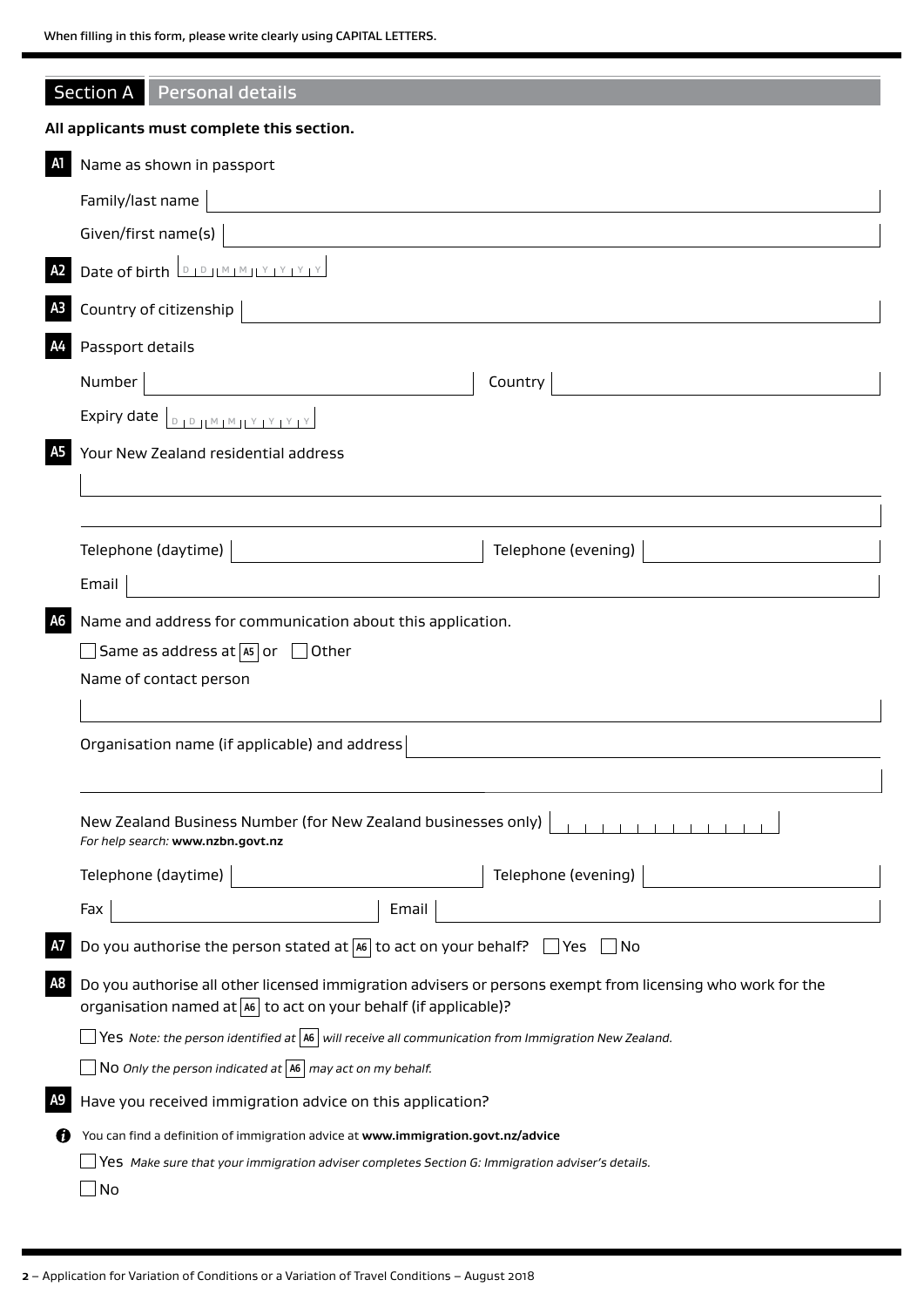|    | Section A Personal details                                                                                                                                                      |  |  |  |  |  |  |  |
|----|---------------------------------------------------------------------------------------------------------------------------------------------------------------------------------|--|--|--|--|--|--|--|
|    | All applicants must complete this section.                                                                                                                                      |  |  |  |  |  |  |  |
|    | Name as shown in passport                                                                                                                                                       |  |  |  |  |  |  |  |
|    | Family/last name                                                                                                                                                                |  |  |  |  |  |  |  |
|    | Given/first name(s)                                                                                                                                                             |  |  |  |  |  |  |  |
| A2 | Date of birth <b>DIDIMMIY</b>                                                                                                                                                   |  |  |  |  |  |  |  |
|    | Country of citizenship                                                                                                                                                          |  |  |  |  |  |  |  |
|    | Passport details                                                                                                                                                                |  |  |  |  |  |  |  |
|    | Number<br>Country                                                                                                                                                               |  |  |  |  |  |  |  |
|    | Expiry date $\vert_{\text{DIPHM}+M+Y+Y+Y+Y} \vert$                                                                                                                              |  |  |  |  |  |  |  |
|    | Your New Zealand residential address                                                                                                                                            |  |  |  |  |  |  |  |
|    |                                                                                                                                                                                 |  |  |  |  |  |  |  |
|    |                                                                                                                                                                                 |  |  |  |  |  |  |  |
|    | Telephone (daytime)  <br>Telephone (evening)                                                                                                                                    |  |  |  |  |  |  |  |
|    | Email                                                                                                                                                                           |  |  |  |  |  |  |  |
| A6 | Name and address for communication about this application.<br>Same as address at $\boxed{45}$ or $\boxed{\phantom{1}}$ Other<br>Name of contact person                          |  |  |  |  |  |  |  |
|    |                                                                                                                                                                                 |  |  |  |  |  |  |  |
|    | Organisation name (if applicable) and address                                                                                                                                   |  |  |  |  |  |  |  |
|    | .<br>New Zealand Business Number (for New Zealand businesses only)<br>For help search: www.nzbn.govt.nz                                                                         |  |  |  |  |  |  |  |
|    | Telephone (evening)<br>Telephone (daytime)                                                                                                                                      |  |  |  |  |  |  |  |
|    | Fax<br>Email                                                                                                                                                                    |  |  |  |  |  |  |  |
|    | Do you authorise the person stated at $\sqrt{46}$ to act on your behalf? $\Box$ Yes $\Box$ No                                                                                   |  |  |  |  |  |  |  |
| A8 | Do you authorise all other licensed immigration advisers or persons exempt from licensing who work for the<br>organisation named at [46] to act on your behalf (if applicable)? |  |  |  |  |  |  |  |
|    | Yes Note: the person identified at $\boxed{46}$ will receive all communication from Immigration New Zealand.                                                                    |  |  |  |  |  |  |  |
|    | No Only the person indicated at $\boxed{46}$ may act on my behalf.                                                                                                              |  |  |  |  |  |  |  |
| A9 | Have you received immigration advice on this application?                                                                                                                       |  |  |  |  |  |  |  |
|    | You can find a definition of immigration advice at www.immigration.govt.nz/advice                                                                                               |  |  |  |  |  |  |  |
|    | Yes Make sure that your immigration adviser completes Section G: Immigration adviser's details.<br>  No                                                                         |  |  |  |  |  |  |  |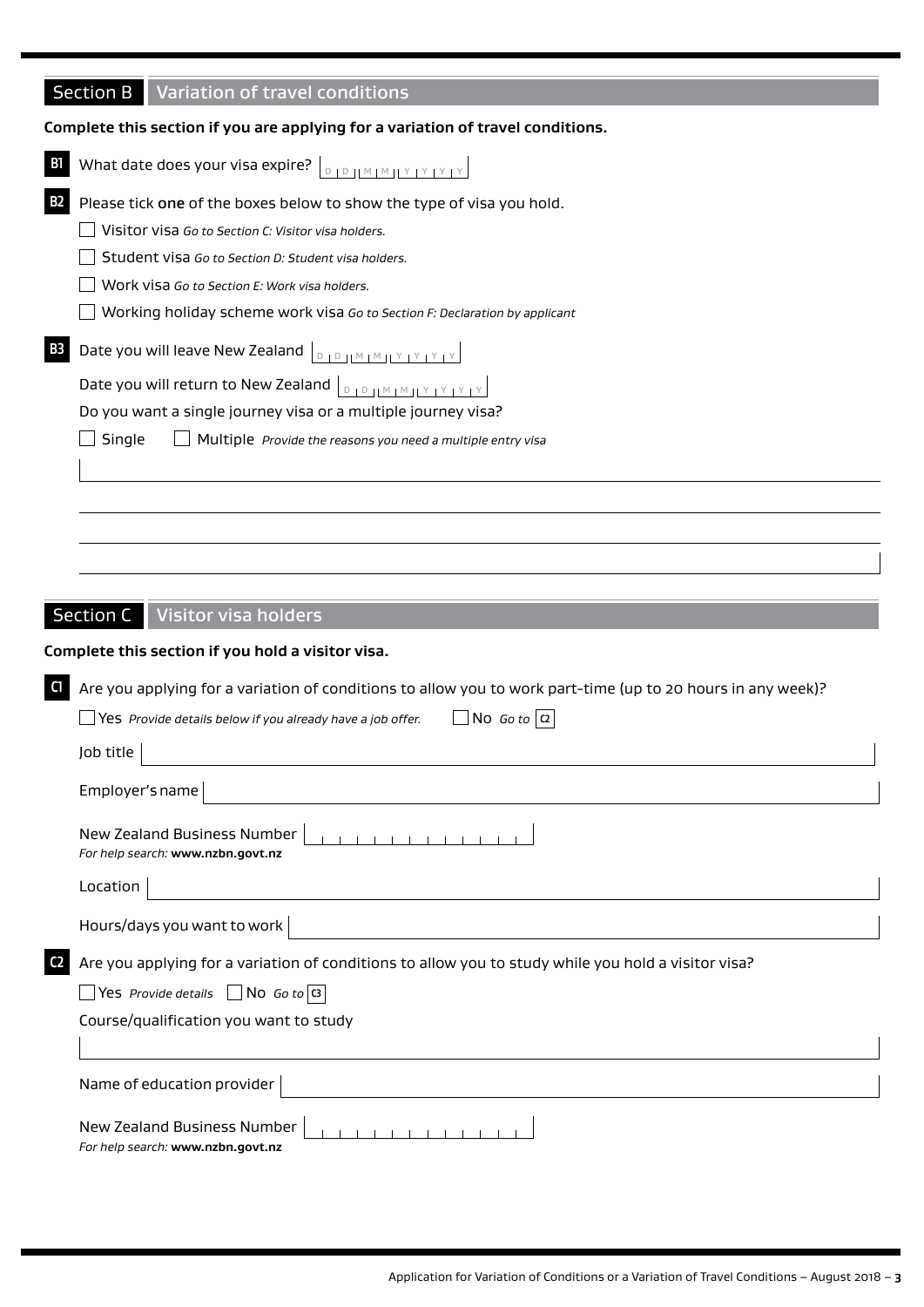| <b>Section B</b> Variation of travel conditions                                    |  |  |  |  |  |  |
|------------------------------------------------------------------------------------|--|--|--|--|--|--|
| Complete this section if you are applying for a variation of travel conditions.    |  |  |  |  |  |  |
| <b>B1</b><br>What date does your visa expire? $ _{\text{DIPINMIN}}$                |  |  |  |  |  |  |
| <b>B2</b><br>Please tick one of the boxes below to show the type of visa you hold. |  |  |  |  |  |  |
| Visitor visa Go to Section C: Visitor visa holders.                                |  |  |  |  |  |  |
| Student visa Go to Section D: Student visa holders.                                |  |  |  |  |  |  |
| Work visa Go to Section E: Work visa holders.                                      |  |  |  |  |  |  |
| Working holiday scheme work visa Go to Section F: Declaration by applicant         |  |  |  |  |  |  |
| Date you will leave New Zealand $ _{D+D+ M+M+ Y+Y+Y}$<br><b>B3</b>                 |  |  |  |  |  |  |
| Date you will return to New Zealand<br>$D + D + M + M + N + Y + Y + Y$             |  |  |  |  |  |  |
| Do you want a single journey visa or a multiple journey visa?                      |  |  |  |  |  |  |
| Single<br>Multiple Provide the reasons you need a multiple entry visa              |  |  |  |  |  |  |
|                                                                                    |  |  |  |  |  |  |
|                                                                                    |  |  |  |  |  |  |
|                                                                                    |  |  |  |  |  |  |
|                                                                                    |  |  |  |  |  |  |
|                                                                                    |  |  |  |  |  |  |

# Section C Visitor visa holders

|    | Complete this section if you hold a visitor visa.                                                           |
|----|-------------------------------------------------------------------------------------------------------------|
| C1 | Are you applying for a variation of conditions to allow you to work part-time (up to 20 hours in any week)? |
|    | $\Box$ No Go to $ a $<br>$\Box$ Yes Provide details below if you already have a job offer.                  |
|    | Job title                                                                                                   |
|    | Employer's name                                                                                             |
|    | New Zealand Business Number<br>For help search: www.nzbn.govt.nz                                            |
|    | Location                                                                                                    |
|    | Hours/days you want to work                                                                                 |
|    | Are you applying for a variation of conditions to allow you to study while you hold a visitor visa?         |
|    | $\Box$ Yes Provide details $\Box$ No Go to $ a $                                                            |
|    | Course/qualification you want to study                                                                      |
|    |                                                                                                             |
|    | Name of education provider                                                                                  |
|    | New Zealand Business Number<br>For help search: www.nzbn.govt.nz                                            |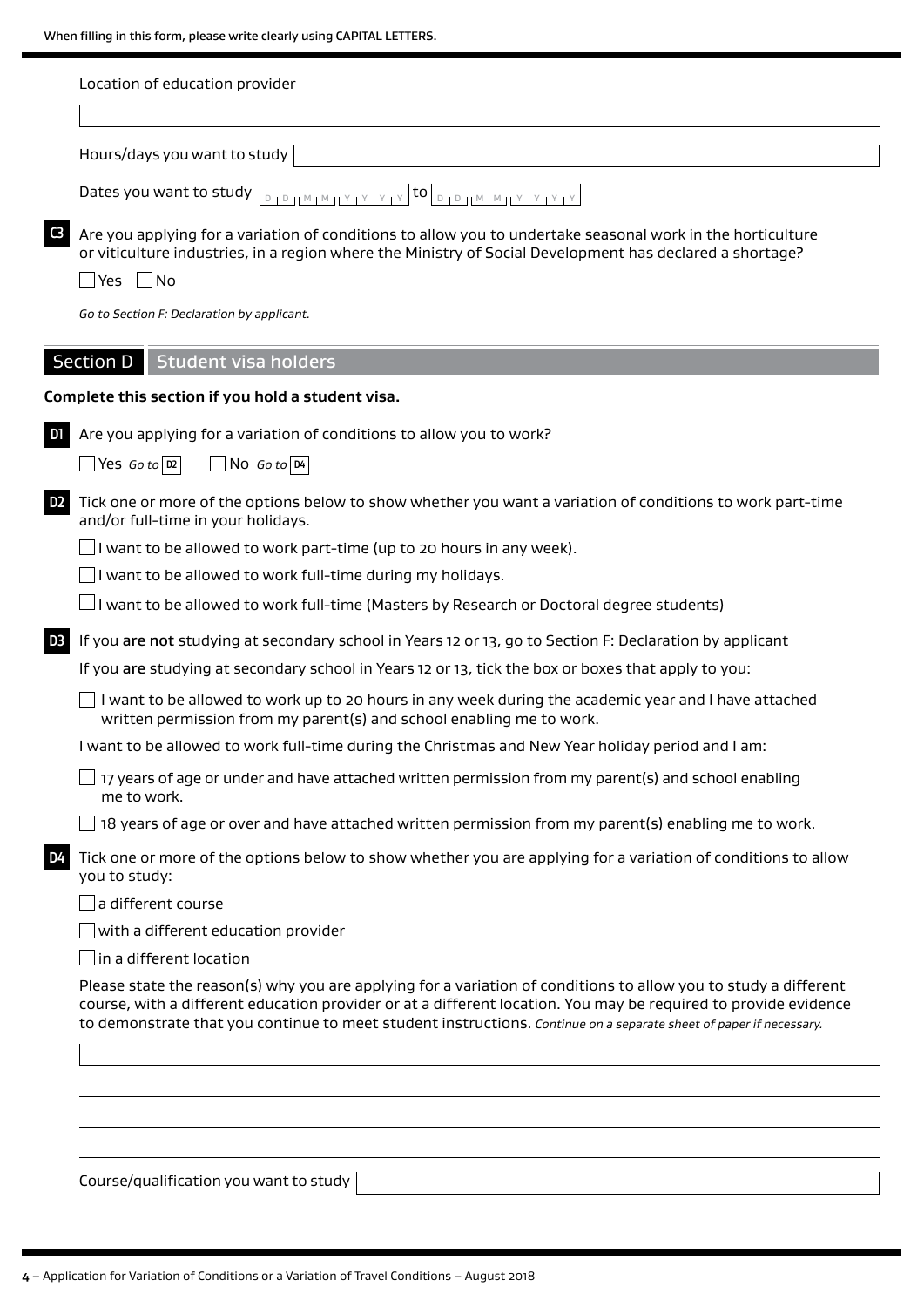|                | Location of education provider                                                                                                                                                                                                                                                                                                                           |
|----------------|----------------------------------------------------------------------------------------------------------------------------------------------------------------------------------------------------------------------------------------------------------------------------------------------------------------------------------------------------------|
|                | Hours/days you want to study                                                                                                                                                                                                                                                                                                                             |
|                | Dates you want to study $\left[\begin{array}{c c c c c} D_{1D} & N_{1N} & D_{1N} & D_{1D} & D_{1D} & M_{1N} & D_{1N} & D_{1N} & D_{1N} & D_{1N} & D_{1N} & D_{1N} & D_{1N} & D_{1N} & D_{1N} & D_{1N} & D_{1N} & D_{1N} & D_{1N} & D_{1N} & D_{1N} & D_{1N} & D_{1N} & D_{1N} & D_{1N} & D_{1N} & D_{1N} & D_{1N} & D_{1N} & D_{1N}$                     |
| C <sub>3</sub> | Are you applying for a variation of conditions to allow you to undertake seasonal work in the horticulture<br>or viticulture industries, in a region where the Ministry of Social Development has declared a shortage?<br>Yes No                                                                                                                         |
|                | Go to Section F: Declaration by applicant.                                                                                                                                                                                                                                                                                                               |
|                | Section D<br><b>Student visa holders</b>                                                                                                                                                                                                                                                                                                                 |
|                | Complete this section if you hold a student visa.                                                                                                                                                                                                                                                                                                        |
| D1             | Are you applying for a variation of conditions to allow you to work?                                                                                                                                                                                                                                                                                     |
|                | $\Box$ No Go to $\vert$ D4<br>$\Box$ Yes <i>Go</i> to   D2                                                                                                                                                                                                                                                                                               |
| D <sub>2</sub> | Tick one or more of the options below to show whether you want a variation of conditions to work part-time<br>and/or full-time in your holidays.                                                                                                                                                                                                         |
|                | I want to be allowed to work part-time (up to 20 hours in any week).                                                                                                                                                                                                                                                                                     |
|                | $\Box$ I want to be allowed to work full-time during my holidays.                                                                                                                                                                                                                                                                                        |
|                | $\Box$ I want to be allowed to work full-time (Masters by Research or Doctoral degree students)                                                                                                                                                                                                                                                          |
| D <sub>3</sub> | If you are not studying at secondary school in Years 12 or 13, go to Section F: Declaration by applicant                                                                                                                                                                                                                                                 |
|                | If you are studying at secondary school in Years 12 or 13, tick the box or boxes that apply to you:                                                                                                                                                                                                                                                      |
|                | I want to be allowed to work up to 20 hours in any week during the academic year and I have attached<br>written permission from my parent(s) and school enabling me to work.                                                                                                                                                                             |
|                | I want to be allowed to work full-time during the Christmas and New Year holiday period and I am:                                                                                                                                                                                                                                                        |
|                | 17 years of age or under and have attached written permission from my parent(s) and school enabling<br>me to work.                                                                                                                                                                                                                                       |
|                | 18 years of age or over and have attached written permission from my parent(s) enabling me to work.                                                                                                                                                                                                                                                      |
| D4             | Tick one or more of the options below to show whether you are applying for a variation of conditions to allow<br>you to study:                                                                                                                                                                                                                           |
|                | a different course                                                                                                                                                                                                                                                                                                                                       |
|                | with a different education provider                                                                                                                                                                                                                                                                                                                      |
|                | in a different location                                                                                                                                                                                                                                                                                                                                  |
|                | Please state the reason(s) why you are applying for a variation of conditions to allow you to study a different<br>course, with a different education provider or at a different location. You may be required to provide evidence<br>to demonstrate that you continue to meet student instructions. Continue on a separate sheet of paper if necessary. |
|                |                                                                                                                                                                                                                                                                                                                                                          |
|                |                                                                                                                                                                                                                                                                                                                                                          |
|                |                                                                                                                                                                                                                                                                                                                                                          |
|                |                                                                                                                                                                                                                                                                                                                                                          |
|                | Course/qualification you want to study                                                                                                                                                                                                                                                                                                                   |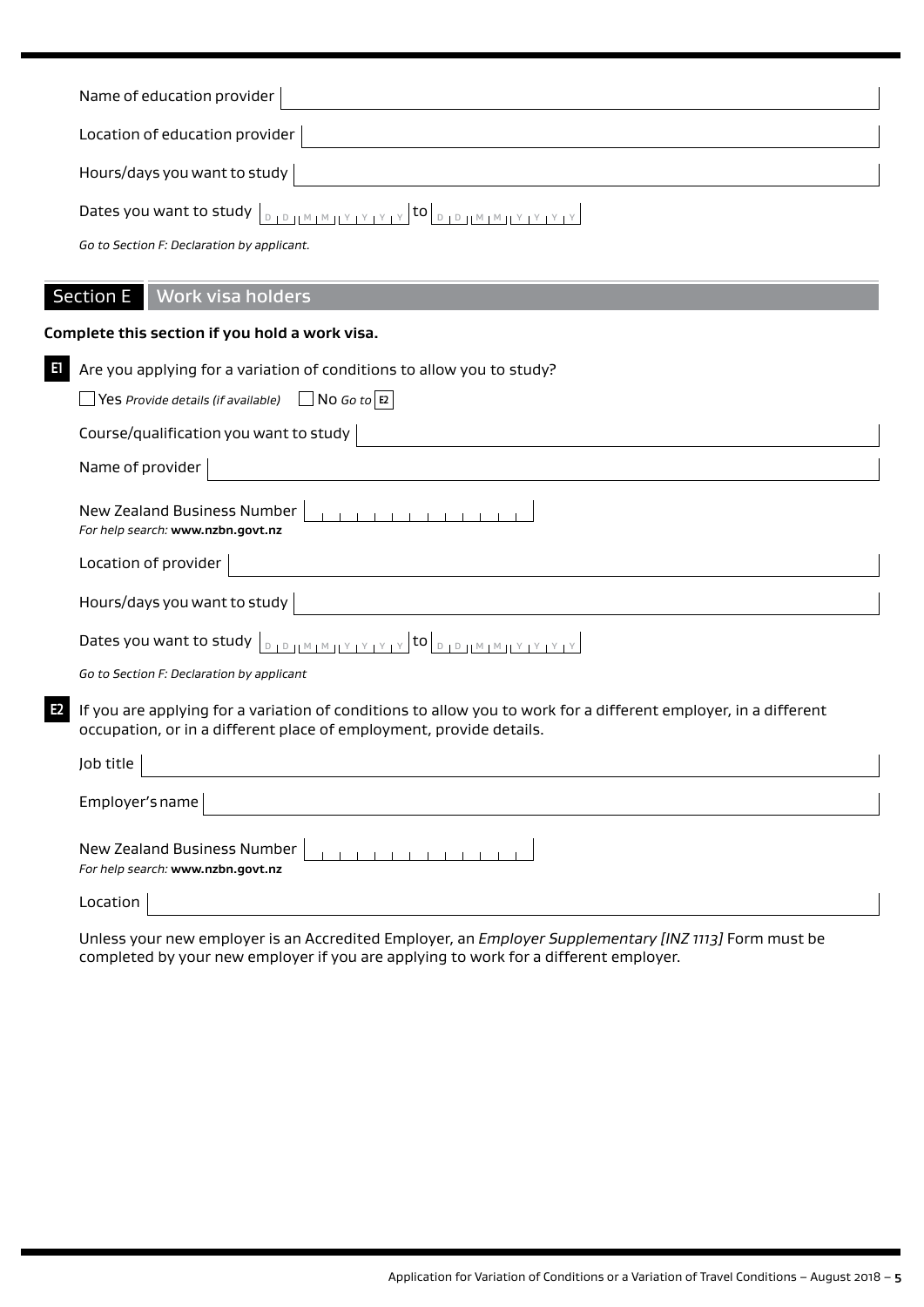| Name of education provider                                                                                                                                                                           |
|------------------------------------------------------------------------------------------------------------------------------------------------------------------------------------------------------|
| Location of education provider                                                                                                                                                                       |
| Hours/days you want to study                                                                                                                                                                         |
| Dates you want to study $\left[\begin{array}{c c c c c} D_{1D} & M_{1M} & N_{1Y} & N_{1Y} \end{array}\right]$ to $\left[\begin{array}{c c c c} D_{1D} & M_{1M} & N_{1Y} & N_{1Y} \end{array}\right]$ |
| Go to Section F: Declaration by applicant.                                                                                                                                                           |
| <b>Section E</b><br><b>Work visa holders</b>                                                                                                                                                         |
| Complete this section if you hold a work visa.                                                                                                                                                       |
| E1<br>Are you applying for a variation of conditions to allow you to study?                                                                                                                          |
| $\Box$ Yes Provide details (if available) $\Box$ No Go to $ \mathtt{E} $                                                                                                                             |
| Course/qualification you want to study                                                                                                                                                               |
| Name of provider                                                                                                                                                                                     |
| New Zealand Business Number<br>For help search: www.nzbn.govt.nz                                                                                                                                     |
| Location of provider                                                                                                                                                                                 |
| Hours/days you want to study                                                                                                                                                                         |
| Dates you want to study $\left[\begin{array}{c c c c c} D_{1D} & M_{1M} & N_{1Y} & N_{1Y} \end{array}\right]$ to $\left[\begin{array}{c c c c} D_{1D} & M_{1M} & N_{1Y} & N_{1Y} \end{array}\right]$ |
| Go to Section F: Declaration by applicant                                                                                                                                                            |
| If you are applying for a variation of conditions to allow you to work for a different employer, in a different<br>E2<br>occupation, or in a different place of employment, provide details.         |
| Job title                                                                                                                                                                                            |
| Employer's name                                                                                                                                                                                      |
| New Zealand Business Number<br>For help search: www.nzbn.govt.nz                                                                                                                                     |
| Location                                                                                                                                                                                             |

Ī

Unless your new employer is an Accredited Employer, an *Employer Supplementary [INZ 1113]* Form must be completed by your new employer if you are applying to work for a different employer.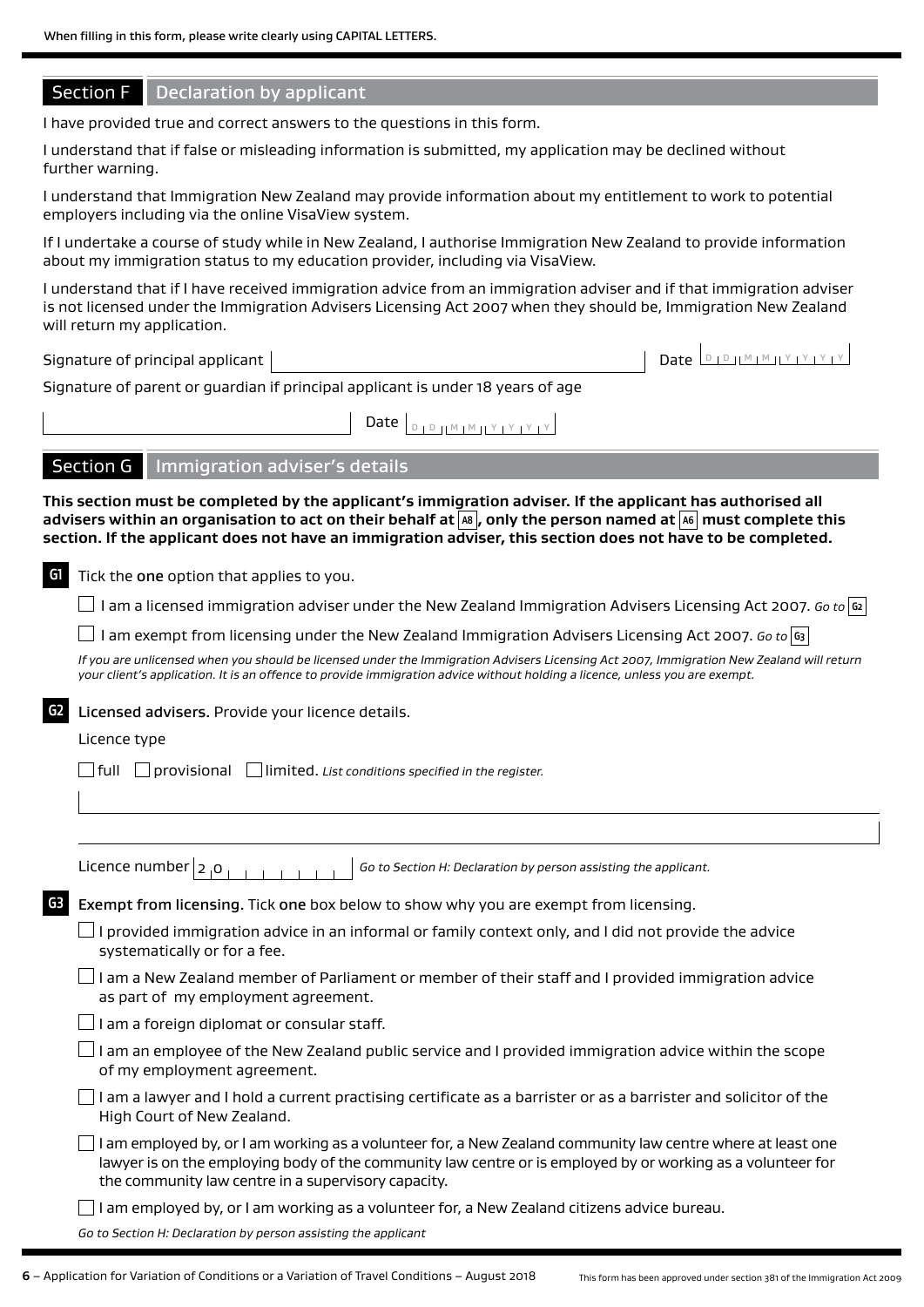# Section F | Declaration by applicant

I have provided true and correct answers to the questions in this form.

I understand that if false or misleading information is submitted, my application may be declined without further warning.

I understand that Immigration New Zealand may provide information about my entitlement to work to potential employers including via the online VisaView system.

If I undertake a course of study while in New Zealand, I authorise Immigration New Zealand to provide information about my immigration status to my education provider, including via VisaView.

I understand that if I have received immigration advice from an immigration adviser and if that immigration adviser is not licensed under the Immigration Advisers Licensing Act 2007 when they should be, Immigration New Zealand will return my application.

Signature of principal applicant Date <sup>D</sup> <sup>D</sup> <sup>M</sup> <sup>M</sup> <sup>Y</sup> <sup>Y</sup> <sup>Y</sup> <sup>Y</sup>

Signature of parent or guardian if principal applicant is under 18 years of age

| Date | the state of the state of the state<br>$\sim$<br>-- |
|------|-----------------------------------------------------|
|      |                                                     |

## Section G | Immigration adviser's details

**This section must be completed by the applicant's immigration adviser. If the applicant has authorised all advisers within an organisation to act on their behalf at A8 , only the person named at A6 must complete this section. If the applicant does not have an immigration adviser, this section does not have to be completed.**

**G1** Tick the one option that applies to you.

 $\Box$  I am a licensed immigration adviser under the New Zealand Immigration Advisers Licensing Act 2007. *Go to*  $\circ$ 

I am exempt from licensing under the New Zealand Immigration Advisers Licensing Act 2007. *Go to* **G3**

*If you are unlicensed when you should be licensed under the Immigration Advisers Licensing Act 2007, Immigration New Zealand will return your client's application. It is an offence to provide immigration advice without holding a licence, unless you are exempt.*

**G2** Licensed advisers. Provide your licence details.

#### Licence type

full provisional limited. *List conditions specified in the register.*

Licence number  $|2_0$ <sub>1, 1, 1, 1, 1</sub> Go to Section H: Declaration by person assisting the applicant.

**G3** Exempt from licensing. Tick one box below to show why you are exempt from licensing.

 $\Box$  I provided immigration advice in an informal or family context only, and I did not provide the advice systematically or for a fee.

 $\Box$  I am a New Zealand member of Parliament or member of their staff and I provided immigration advice as part of my employment agreement.

 $\Box$  I am a foreign diplomat or consular staff.

 $\Box$  I am an employee of the New Zealand public service and I provided immigration advice within the scope of my employment agreement.

 $\Box$  I am a lawyer and I hold a current practising certificate as a barrister or as a barrister and solicitor of the High Court of New Zealand.

| $\Box$ I am employed by, or I am working as a volunteer for, a New Zealand community law centre where at least one |
|--------------------------------------------------------------------------------------------------------------------|
| lawyer is on the employing body of the community law centre or is employed by or working as a volunteer for        |
| the community law centre in a supervisory capacity.                                                                |

 $\Box$  I am employed by, or I am working as a volunteer for, a New Zealand citizens advice bureau.

*Go to Section H: Declaration by person assisting the applicant*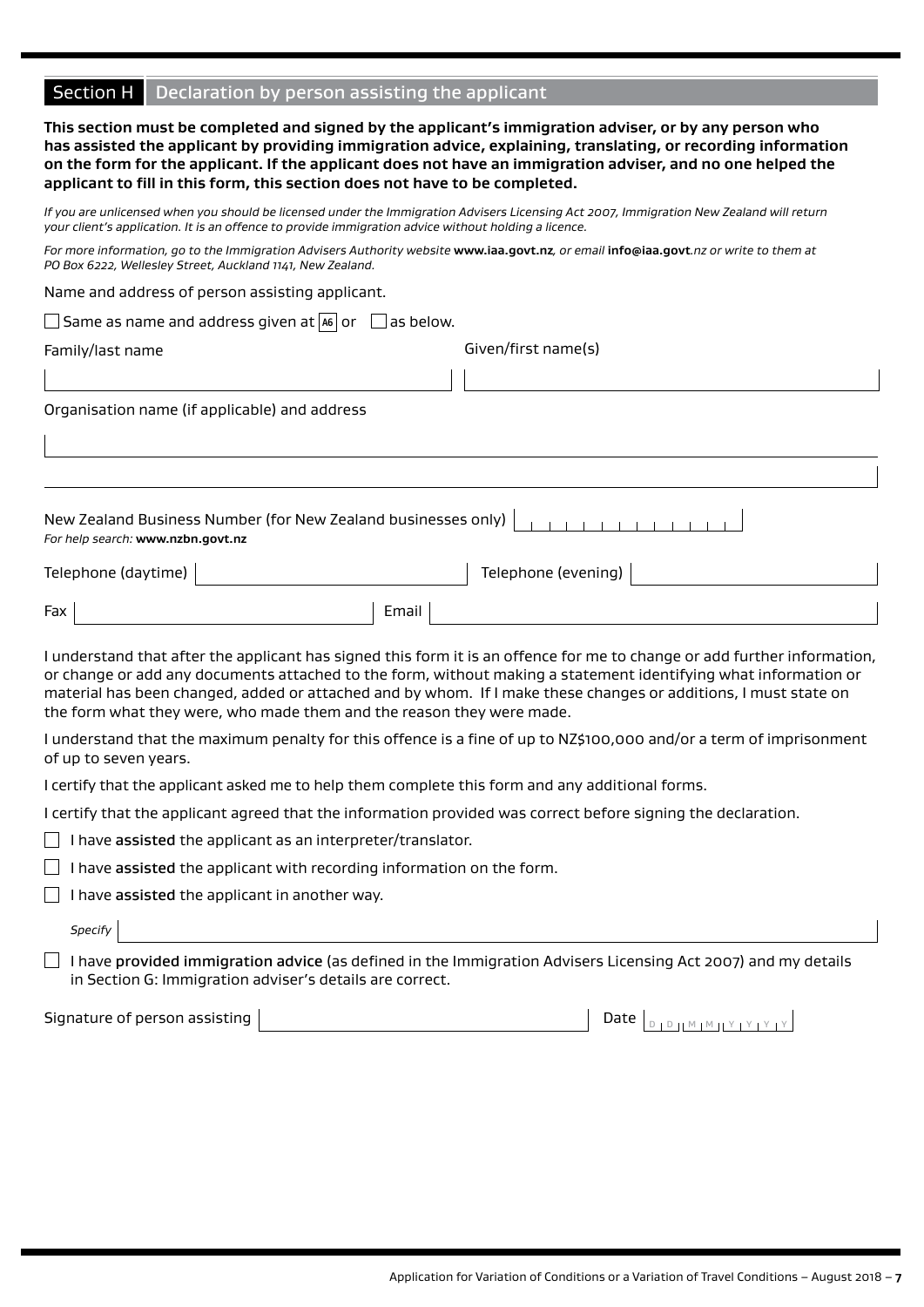# Section H Declaration by person assisting the applicant

**This section must be completed and signed by the applicant's immigration adviser, or by any person who has assisted the applicant by providing immigration advice, explaining, translating, or recording information on the form for the applicant. If the applicant does not have an immigration adviser, and no one helped the applicant to fill in this form, this section does not have to be completed.**

*If you are unlicensed when you should be licensed under the Immigration Advisers Licensing Act 2007, Immigration New Zealand will return your client's application. It is an offence to provide immigration advice without holding a licence.*

*For more information, go to the Immigration Advisers Authority website* **www.iaa.govt.nz***, or email* **info@iaa.govt***.nz or write to them at PO Box 6222, Wellesley Street, Auckland 1141, New Zealand.*

Name and address of person assisting applicant.

| $\Box$ Same as name and address given at $\Box$ as below. |                     |  |  |  |  |  |  |
|-----------------------------------------------------------|---------------------|--|--|--|--|--|--|
| Family/last name                                          | Given/first name(s) |  |  |  |  |  |  |
|                                                           |                     |  |  |  |  |  |  |
| Organisation name (if applicable) and address             |                     |  |  |  |  |  |  |
|                                                           |                     |  |  |  |  |  |  |
|                                                           |                     |  |  |  |  |  |  |

| For help search: www.nzbn.govt.nz |  |  |  |  |  |  |  |  |
|-----------------------------------|--|--|--|--|--|--|--|--|

| Telephone (daytime) |       | Telephone (evening) |  |
|---------------------|-------|---------------------|--|
| Fax                 | Email |                     |  |

I understand that after the applicant has signed this form it is an offence for me to change or add further information, or change or add any documents attached to the form, without making a statement identifying what information or material has been changed, added or attached and by whom. If I make these changes or additions, I must state on the form what they were, who made them and the reason they were made.

I understand that the maximum penalty for this offence is a fine of up to NZ\$100,000 and/or a term of imprisonment of up to seven years.

I certify that the applicant asked me to help them complete this form and any additional forms.

I certify that the applicant agreed that the information provided was correct before signing the declaration.

- $\Box$  I have assisted the applicant as an interpreter/translator.
- $\Box$  I have assisted the applicant with recording information on the form.
- $\Box$  I have assisted the applicant in another way.

*Specify*

 $\Box$  I have provided immigration advice (as defined in the Immigration Advisers Licensing Act 2007) and my details in Section G: Immigration adviser's details are correct.

Signature of person assisting Date <sup>D</sup> <sup>D</sup> <sup>M</sup> <sup>M</sup> <sup>Y</sup> <sup>Y</sup> <sup>Y</sup> <sup>Y</sup>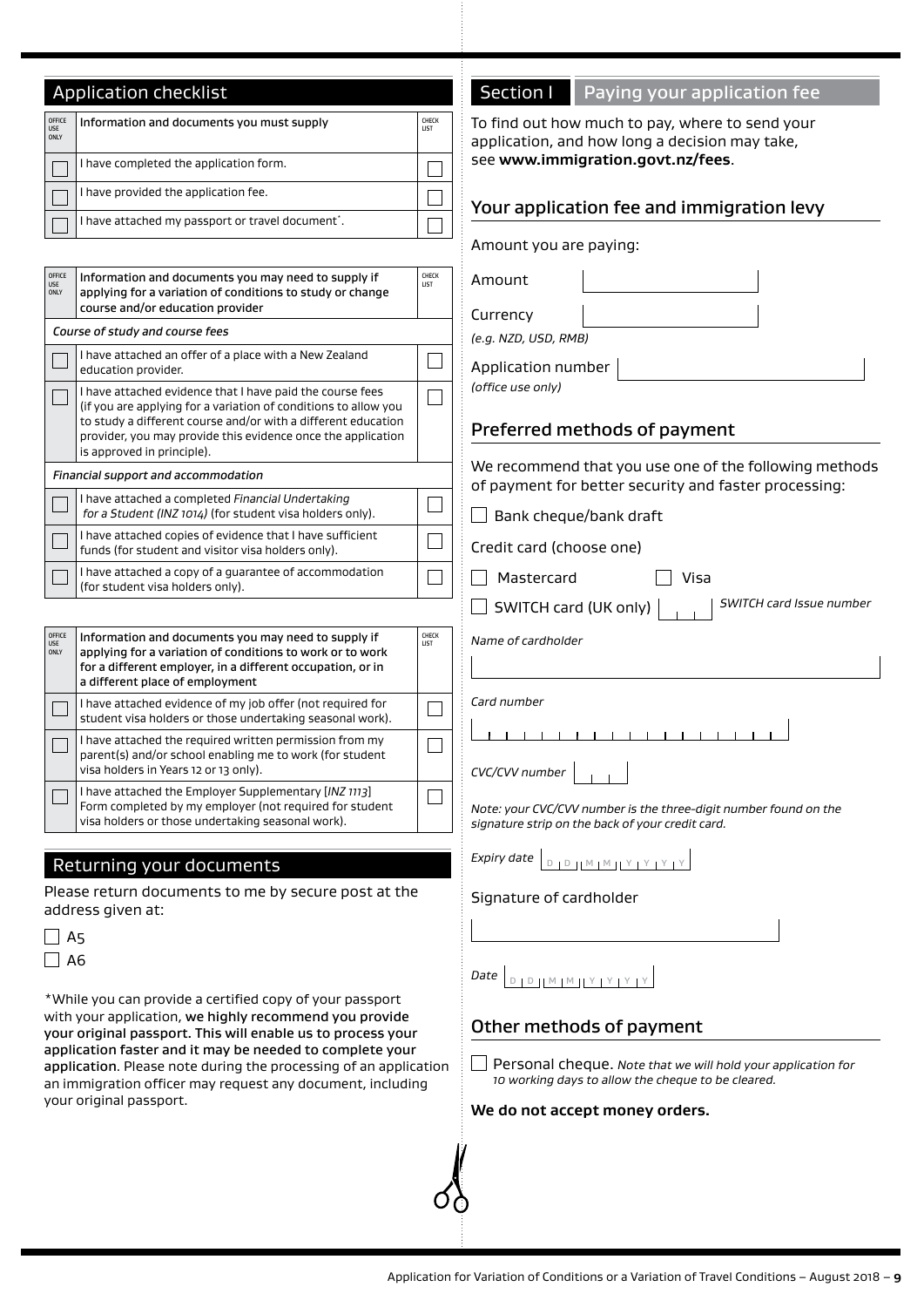|                                                                                                                                                                                                                       | Application checklist                                                                                                                                                                                             |                                                          | Section I<br>Paying your application fee                                                                             |
|-----------------------------------------------------------------------------------------------------------------------------------------------------------------------------------------------------------------------|-------------------------------------------------------------------------------------------------------------------------------------------------------------------------------------------------------------------|----------------------------------------------------------|----------------------------------------------------------------------------------------------------------------------|
| OFFICE<br>USE<br>ONLY                                                                                                                                                                                                 | Information and documents you must supply                                                                                                                                                                         | CHECK<br>LIST                                            | To find out how much to pay, where to send your<br>application, and how long a decision may take,                    |
|                                                                                                                                                                                                                       | I have completed the application form.                                                                                                                                                                            |                                                          | see www.immigration.govt.nz/fees.                                                                                    |
|                                                                                                                                                                                                                       | I have provided the application fee.                                                                                                                                                                              |                                                          | Your application fee and immigration levy                                                                            |
|                                                                                                                                                                                                                       | I have attached my passport or travel document*.                                                                                                                                                                  |                                                          |                                                                                                                      |
|                                                                                                                                                                                                                       |                                                                                                                                                                                                                   |                                                          | Amount you are paying:                                                                                               |
| OFFICE<br><b>USE</b><br>ONLY                                                                                                                                                                                          | Information and documents you may need to supply if<br>applying for a variation of conditions to study or change<br>course and/or education provider                                                              | CHECK<br>LIST                                            | Amount                                                                                                               |
|                                                                                                                                                                                                                       | Course of study and course fees                                                                                                                                                                                   |                                                          | Currency<br>(e.g. NZD, USD, RMB)                                                                                     |
|                                                                                                                                                                                                                       | I have attached an offer of a place with a New Zealand<br>education provider.                                                                                                                                     |                                                          | Application number                                                                                                   |
|                                                                                                                                                                                                                       | I have attached evidence that I have paid the course fees<br>(if you are applying for a variation of conditions to allow you                                                                                      |                                                          | (office use only)                                                                                                    |
|                                                                                                                                                                                                                       | to study a different course and/or with a different education<br>provider, you may provide this evidence once the application<br>is approved in principle).                                                       |                                                          | Preferred methods of payment                                                                                         |
|                                                                                                                                                                                                                       | Financial support and accommodation                                                                                                                                                                               |                                                          | We recommend that you use one of the following methods                                                               |
|                                                                                                                                                                                                                       | I have attached a completed Financial Undertaking<br>for a Student (INZ 1014) (for student visa holders only).                                                                                                    |                                                          | of payment for better security and faster processing:<br>Bank cheque/bank draft                                      |
|                                                                                                                                                                                                                       | I have attached copies of evidence that I have sufficient<br>funds (for student and visitor visa holders only).                                                                                                   |                                                          | Credit card (choose one)                                                                                             |
|                                                                                                                                                                                                                       | I have attached a copy of a guarantee of accommodation<br>(for student visa holders only).                                                                                                                        |                                                          | Mastercard<br>Visa                                                                                                   |
|                                                                                                                                                                                                                       |                                                                                                                                                                                                                   | <b>SWITCH card Issue number</b><br>SWITCH card (UK only) |                                                                                                                      |
| OFFICE<br>USE<br>ONLY                                                                                                                                                                                                 | Information and documents you may need to supply if<br>applying for a variation of conditions to work or to work<br>for a different employer, in a different occupation, or in<br>a different place of employment | CHECK<br><b>LIST</b>                                     | Name of cardholder                                                                                                   |
|                                                                                                                                                                                                                       | I have attached evidence of my job offer (not required for<br>student visa holders or those undertaking seasonal work).                                                                                           |                                                          | Card number                                                                                                          |
|                                                                                                                                                                                                                       | I have attached the required written permission from my<br>parent(s) and/or school enabling me to work (for student<br>visa holders in Years 12 or 13 only).                                                      |                                                          | $\mathbf{1}$ $\mathbf{1}$ $\mathbf{1}$ $\mathbf{1}$<br>CVC/CVV number                                                |
|                                                                                                                                                                                                                       | I have attached the Employer Supplementary [INZ 1113]<br>Form completed by my employer (not required for student<br>visa holders or those undertaking seasonal work).                                             |                                                          | Note: your CVC/CVV number is the three-digit number found on the<br>signature strip on the back of your credit card. |
|                                                                                                                                                                                                                       | Returning your documents                                                                                                                                                                                          |                                                          | Expiry date<br>$D + D +  M + M +  Y + Y + Y + Y $                                                                    |
|                                                                                                                                                                                                                       | Please return documents to me by secure post at the<br>address given at:                                                                                                                                          |                                                          | Signature of cardholder                                                                                              |
| $\Box$ A5                                                                                                                                                                                                             |                                                                                                                                                                                                                   |                                                          |                                                                                                                      |
| $\Box$ A6                                                                                                                                                                                                             |                                                                                                                                                                                                                   |                                                          |                                                                                                                      |
|                                                                                                                                                                                                                       |                                                                                                                                                                                                                   | Date<br>$D + D + M + M + Y + Y + Y +$                    |                                                                                                                      |
|                                                                                                                                                                                                                       | *While you can provide a certified copy of your passport<br>with your application, we highly recommend you provide<br>your original passport. This will enable us to process your                                 | Other methods of payment                                 |                                                                                                                      |
| application faster and it may be needed to complete your<br>application. Please note during the processing of an application<br>an immigration officer may request any document, including<br>your original passport. |                                                                                                                                                                                                                   |                                                          | Personal cheque. Note that we will hold your application for<br>10 working days to allow the cheque to be cleared.   |
|                                                                                                                                                                                                                       |                                                                                                                                                                                                                   |                                                          | We do not accept money orders.                                                                                       |
|                                                                                                                                                                                                                       |                                                                                                                                                                                                                   |                                                          |                                                                                                                      |

QÇ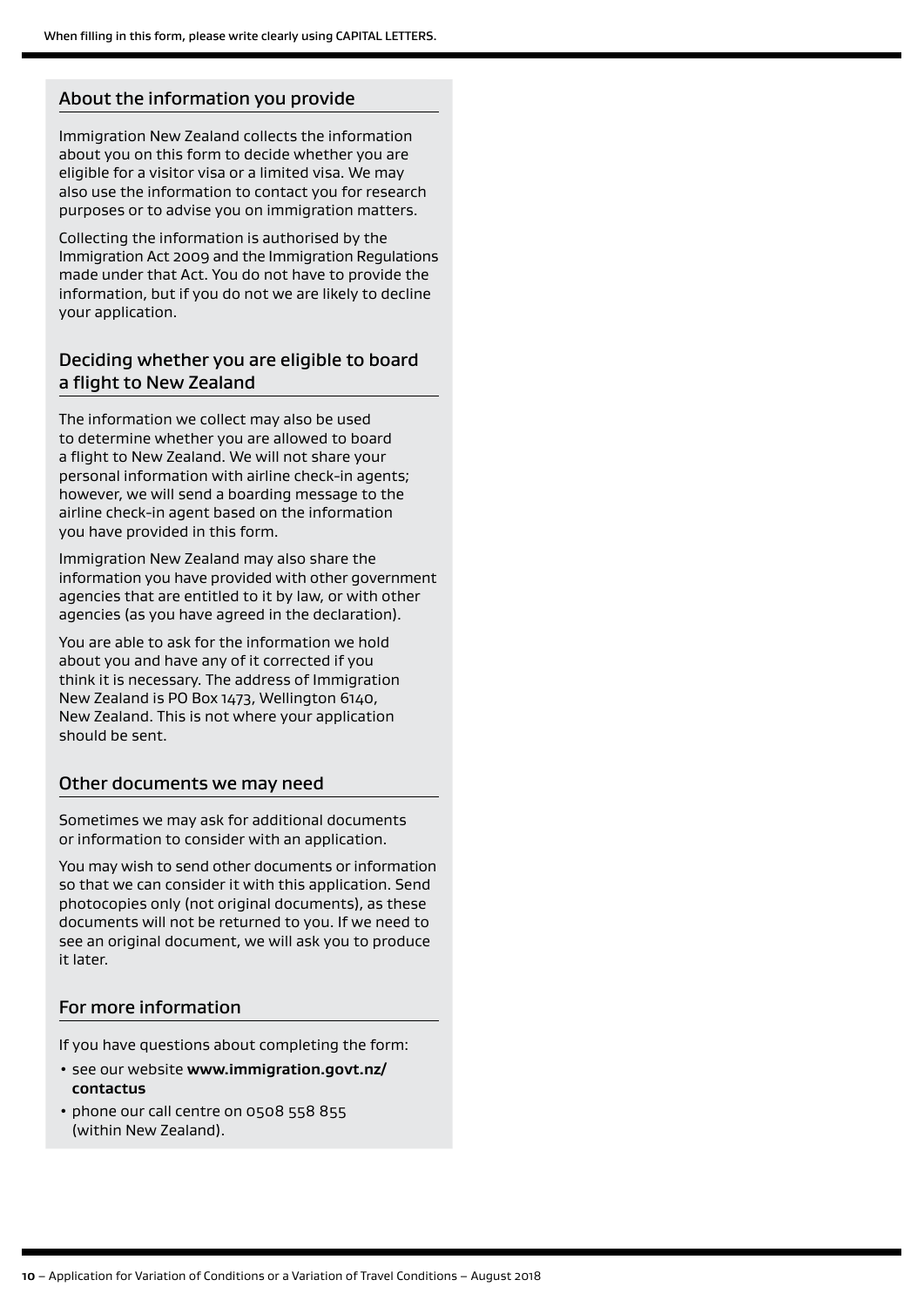### About the information you provide

Immigration New Zealand collects the information about you on this form to decide whether you are eligible for a visitor visa or a limited visa. We may also use the information to contact you for research purposes or to advise you on immigration matters.

Collecting the information is authorised by the Immigration Act 2009 and the Immigration Regulations made under that Act. You do not have to provide the information, but if you do not we are likely to decline your application.

# Deciding whether you are eligible to board a flight to New Zealand

The information we collect may also be used to determine whether you are allowed to board a flight to New Zealand. We will not share your personal information with airline check-in agents; however, we will send a boarding message to the airline check-in agent based on the information you have provided in this form.

Immigration New Zealand may also share the information you have provided with other government agencies that are entitled to it by law, or with other agencies (as you have agreed in the declaration).

You are able to ask for the information we hold about you and have any of it corrected if you think it is necessary. The address of Immigration New Zealand is PO Box 1473, Wellington 6140, New Zealand. This is not where your application should be sent.

#### Other documents we may need

Sometimes we may ask for additional documents or information to consider with an application.

You may wish to send other documents or information so that we can consider it with this application. Send photocopies only (not original documents), as these documents will not be returned to you. If we need to see an original document, we will ask you to produce it later.

#### For more information

If you have questions about completing the form:

- see our website **www.immigration.govt.nz/ contactus**
- phone our call centre on 0508 558 855 (within New Zealand).